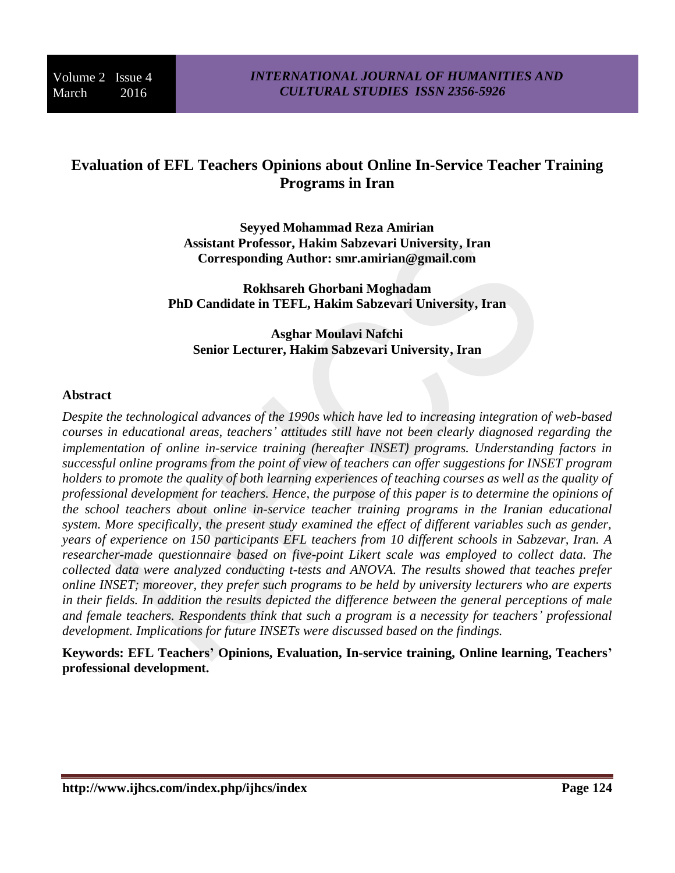# **Evaluation of EFL Teachers Opinions about Online In-Service Teacher Training Programs in Iran**

**Seyyed Mohammad Reza Amirian Assistant Professor, Hakim Sabzevari University, Iran Corresponding Author: [smr.amirian@gmail.com](mailto:smr.amirian@gmail.com)**

**Rokhsareh Ghorbani Moghadam PhD Candidate in TEFL, Hakim Sabzevari University, Iran**

**Asghar Moulavi Nafchi Senior Lecturer, Hakim Sabzevari University, Iran**

### **Abstract**

*Despite the technological advances of the 1990s which have led to increasing integration of web-based courses in educational areas, teachers' attitudes still have not been clearly diagnosed regarding the implementation of online in-service training (hereafter INSET) programs. Understanding factors in successful online programs from the point of view of teachers can offer suggestions for INSET program holders to promote the quality of both learning experiences of teaching courses as well as the quality of professional development for teachers. Hence, the purpose of this paper is to determine the opinions of the school teachers about online in-service teacher training programs in the Iranian educational system. More specifically, the present study examined the effect of different variables such as gender, years of experience on 150 participants EFL teachers from 10 different schools in Sabzevar, Iran. A researcher-made questionnaire based on five-point Likert scale was employed to collect data. The collected data were analyzed conducting t-tests and ANOVA. The results showed that teaches prefer online INSET; moreover, they prefer such programs to be held by university lecturers who are experts in their fields. In addition the results depicted the difference between the general perceptions of male and female teachers. Respondents think that such a program is a necessity for teachers' professional development. Implications for future INSETs were discussed based on the findings.*

**Keywords: EFL Teachers' Opinions, Evaluation, In-service training, Online learning, Teachers' professional development.**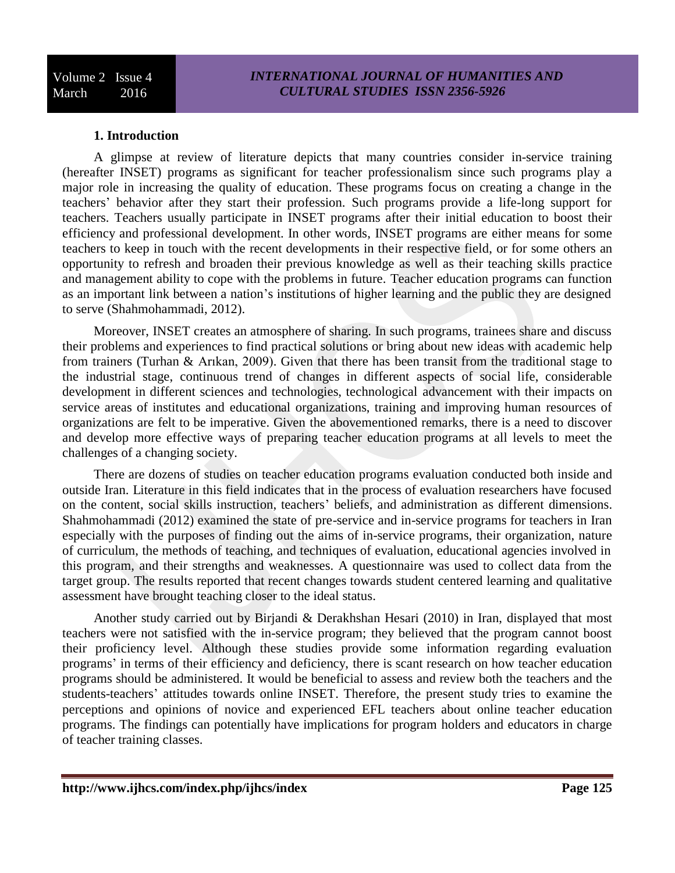### **1. Introduction**

A glimpse at review of literature depicts that many countries consider in-service training (hereafter INSET) programs as significant for teacher professionalism since such programs play a major role in increasing the quality of education. These programs focus on creating a change in the teachers' behavior after they start their profession. Such programs provide a life-long support for teachers. Teachers usually participate in INSET programs after their initial education to boost their efficiency and professional development. In other words, INSET programs are either means for some teachers to keep in touch with the recent developments in their respective field, or for some others an opportunity to refresh and broaden their previous knowledge as well as their teaching skills practice and management ability to cope with the problems in future. Teacher education programs can function as an important link between a nation's institutions of higher learning and the public they are designed to serve (Shahmohammadi, 2012).

Moreover, INSET creates an atmosphere of sharing. In such programs, trainees share and discuss their problems and experiences to find practical solutions or bring about new ideas with academic help from trainers (Turhan & Arıkan, 2009). Given that there has been transit from the traditional stage to the industrial stage, continuous trend of changes in different aspects of social life, considerable development in different sciences and technologies, technological advancement with their impacts on service areas of institutes and educational organizations, training and improving human resources of organizations are felt to be imperative. Given the abovementioned remarks, there is a need to discover and develop more effective ways of preparing teacher education programs at all levels to meet the challenges of a changing society.

There are dozens of studies on teacher education programs evaluation conducted both inside and outside Iran. Literature in this field indicates that in the process of evaluation researchers have focused on the content, social skills instruction, teachers' beliefs, and administration as different dimensions. Shahmohammadi (2012) examined the state of pre-service and in-service programs for teachers in Iran especially with the purposes of finding out the aims of in-service programs, their organization, nature of curriculum, the methods of teaching, and techniques of evaluation, educational agencies involved in this program, and their strengths and weaknesses. A questionnaire was used to collect data from the target group. The results reported that recent changes towards student centered learning and qualitative assessment have brought teaching closer to the ideal status.

Another study carried out by Birjandi & Derakhshan Hesari (2010) in Iran, displayed that most teachers were not satisfied with the in-service program; they believed that the program cannot boost their proficiency level. Although these studies provide some information regarding evaluation programs' in terms of their efficiency and deficiency, there is scant research on how teacher education programs should be administered. It would be beneficial to assess and review both the teachers and the students-teachers' attitudes towards online INSET. Therefore, the present study tries to examine the perceptions and opinions of novice and experienced EFL teachers about online teacher education programs. The findings can potentially have implications for program holders and educators in charge of teacher training classes.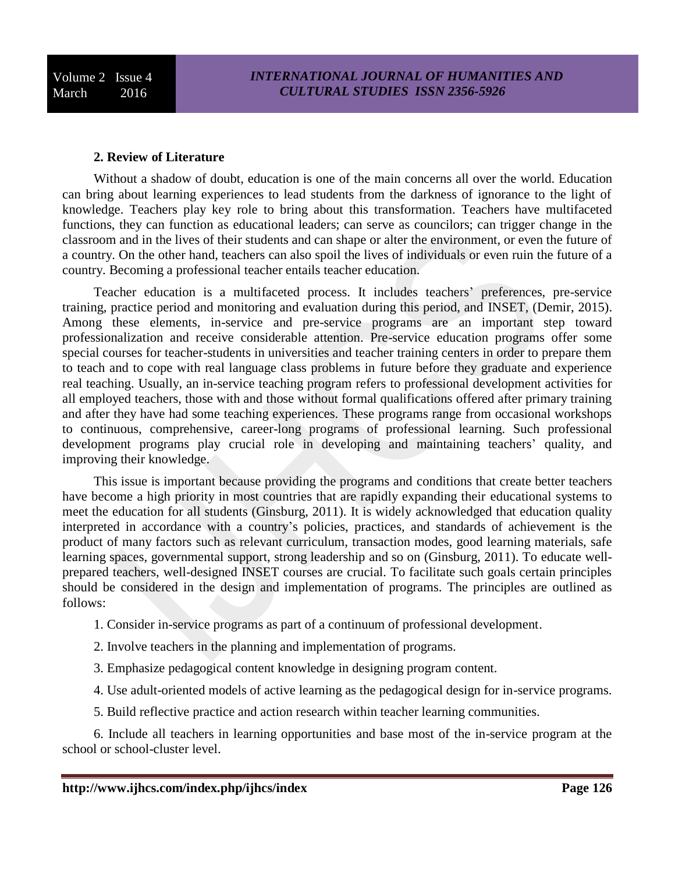#### **2. Review of Literature**

Without a shadow of doubt, education is one of the main concerns all over the world. Education can bring about learning experiences to lead students from the darkness of ignorance to the light of knowledge. Teachers play key role to bring about this transformation. Teachers have multifaceted functions, they can function as educational leaders; can serve as councilors; can trigger change in the classroom and in the lives of their students and can shape or alter the environment, or even the future of a country. On the other hand, teachers can also spoil the lives of individuals or even ruin the future of a country. Becoming a professional teacher entails teacher education.

Teacher education is a multifaceted process. It includes teachers' preferences, pre-service training, practice period and monitoring and evaluation during this period, and INSET, (Demir, 2015). Among these elements, in-service and pre-service programs are an important step toward professionalization and receive considerable attention. Pre-service education programs offer some special courses for teacher-students in universities and teacher training centers in order to prepare them to teach and to cope with real language class problems in future before they graduate and experience real teaching. Usually, an in-service teaching program refers to professional development activities for all employed teachers, those with and those without formal qualifications offered after primary training and after they have had some teaching experiences. These programs range from occasional workshops to continuous, comprehensive, career-long programs of professional learning. Such professional development programs play crucial role in developing and maintaining teachers' quality, and improving their knowledge.

This issue is important because providing the programs and conditions that create better teachers have become a high priority in most countries that are rapidly expanding their educational systems to meet the education for all students (Ginsburg, 2011). It is widely acknowledged that education quality interpreted in accordance with a country's policies, practices, and standards of achievement is the product of many factors such as relevant curriculum, transaction modes, good learning materials, safe learning spaces, governmental support, strong leadership and so on (Ginsburg, 2011). To educate wellprepared teachers, well-designed INSET courses are crucial. To facilitate such goals certain principles should be considered in the design and implementation of programs. The principles are outlined as follows:

- 1. Consider in-service programs as part of a continuum of professional development.
- 2. Involve teachers in the planning and implementation of programs.
- 3. Emphasize pedagogical content knowledge in designing program content.
- 4. Use adult-oriented models of active learning as the pedagogical design for in-service programs.
- 5. Build reflective practice and action research within teacher learning communities.

6. Include all teachers in learning opportunities and base most of the in-service program at the school or school-cluster level.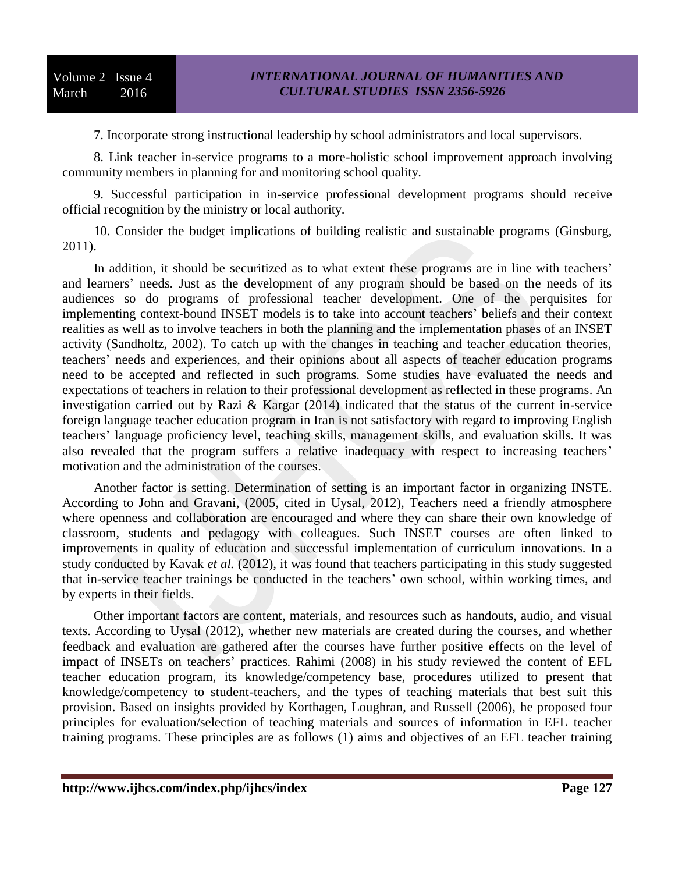7. Incorporate strong instructional leadership by school administrators and local supervisors.

8. Link teacher in-service programs to a more-holistic school improvement approach involving community members in planning for and monitoring school quality.

9. Successful participation in in-service professional development programs should receive official recognition by the ministry or local authority.

10. Consider the budget implications of building realistic and sustainable programs (Ginsburg, 2011).

In addition, it should be securitized as to what extent these programs are in line with teachers' and learners' needs. Just as the development of any program should be based on the needs of its audiences so do programs of professional teacher development. One of the perquisites for implementing context-bound INSET models is to take into account teachers' beliefs and their context realities as well as to involve teachers in both the planning and the implementation phases of an INSET activity (Sandholtz, 2002). To catch up with the changes in teaching and teacher education theories, teachers' needs and experiences, and their opinions about all aspects of teacher education programs need to be accepted and reflected in such programs. Some studies have evaluated the needs and expectations of teachers in relation to their professional development as reflected in these programs. An investigation carried out by Razi & Kargar (2014) indicated that the status of the current in-service foreign language teacher education program in Iran is not satisfactory with regard to improving English teachers' language proficiency level, teaching skills, management skills, and evaluation skills. It was also revealed that the program suffers a relative inadequacy with respect to increasing teachers' motivation and the administration of the courses.

Another factor is setting. Determination of setting is an important factor in organizing INSTE. According to John and Gravani, (2005, cited in Uysal, 2012), Teachers need a friendly atmosphere where openness and collaboration are encouraged and where they can share their own knowledge of classroom, students and pedagogy with colleagues. Such INSET courses are often linked to improvements in quality of education and successful implementation of curriculum innovations. In a study conducted by Kavak *et al.* (2012), it was found that teachers participating in this study suggested that in-service teacher trainings be conducted in the teachers' own school, within working times, and by experts in their fields.

Other important factors are content, materials, and resources such as handouts, audio, and visual texts. According to Uysal (2012), whether new materials are created during the courses, and whether feedback and evaluation are gathered after the courses have further positive effects on the level of impact of INSETs on teachers' practices. Rahimi (2008) in his study reviewed the content of EFL teacher education program, its knowledge/competency base, procedures utilized to present that knowledge/competency to student-teachers, and the types of teaching materials that best suit this provision. Based on insights provided by Korthagen, Loughran, and Russell (2006), he proposed four principles for evaluation/selection of teaching materials and sources of information in EFL teacher training programs. These principles are as follows (1) aims and objectives of an EFL teacher training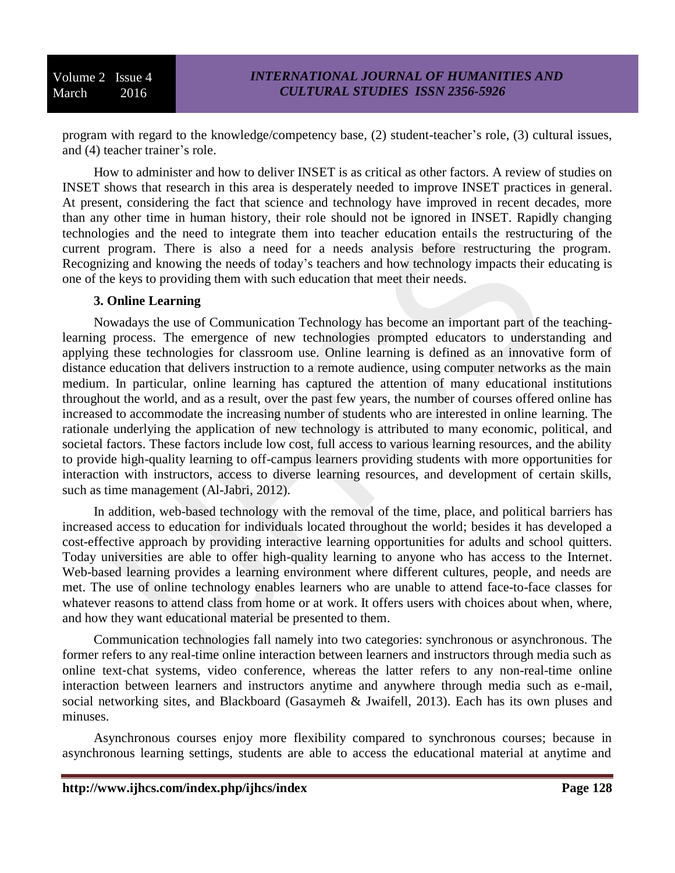program with regard to the knowledge/competency base, (2) student-teacher's role, (3) cultural issues, and (4) teacher trainer's role.

How to administer and how to deliver INSET is as critical as other factors. A review of studies on INSET shows that research in this area is desperately needed to improve INSET practices in general. At present, considering the fact that science and technology have improved in recent decades, more than any other time in human history, their role should not be ignored in INSET. Rapidly changing technologies and the need to integrate them into teacher education entails the restructuring of the current program. There is also a need for a needs analysis before restructuring the program. Recognizing and knowing the needs of today's teachers and how technology impacts their educating is one of the keys to providing them with such education that meet their needs.

#### **3. Online Learning**

Nowadays the use of Communication Technology has become an important part of the teachinglearning process. The emergence of new technologies prompted educators to understanding and applying these technologies for classroom use. Online learning is defined as an innovative form of distance education that delivers instruction to a remote audience, using computer networks as the main medium. In particular, online learning has captured the attention of many educational institutions throughout the world, and as a result, over the past few years, the number of courses offered online has increased to accommodate the increasing number of students who are interested in online learning. The rationale underlying the application of new technology is attributed to many economic, political, and societal factors. These factors include low cost, full access to various learning resources, and the ability to provide high-quality learning to off-campus learners providing students with more opportunities for interaction with instructors, access to diverse learning resources, and development of certain skills, such as time management (Al-Jabri, 2012).

In addition, web-based technology with the removal of the time, place, and political barriers has increased access to education for individuals located throughout the world; besides it has developed a cost-effective approach by providing interactive learning opportunities for adults and school quitters. Today universities are able to offer high-quality learning to anyone who has access to the Internet. Web-based learning provides a learning environment where different cultures, people, and needs are met. The use of online technology enables learners who are unable to attend face-to-face classes for whatever reasons to attend class from home or at work. It offers users with choices about when, where, and how they want educational material be presented to them.

Communication technologies fall namely into two categories: synchronous or asynchronous. The former refers to any real-time online interaction between learners and instructors through media such as online text‐chat systems, video conference, whereas the latter refers to any non-real-time online interaction between learners and instructors anytime and anywhere through media such as e-mail, social networking sites, and Blackboard (Gasaymeh & Jwaifell, 2013). Each has its own pluses and minuses.

Asynchronous courses enjoy more flexibility compared to synchronous courses; because in asynchronous learning settings, students are able to access the educational material at anytime and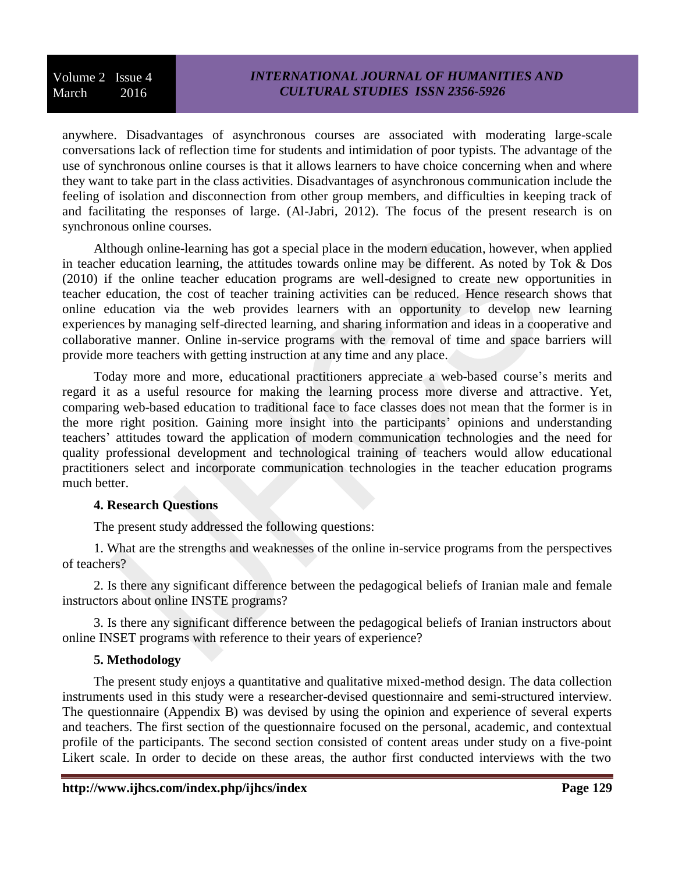# *INTERNATIONAL JOURNAL OF HUMANITIES AND CULTURAL STUDIES ISSN 2356-5926*

anywhere. Disadvantages of asynchronous courses are associated with moderating large-scale conversations lack of reflection time for students and intimidation of poor typists. The advantage of the use of synchronous online courses is that it allows learners to have choice concerning when and where they want to take part in the class activities. Disadvantages of asynchronous communication include the feeling of isolation and disconnection from other group members, and difficulties in keeping track of and facilitating the responses of large. (Al-Jabri, 2012). The focus of the present research is on synchronous online courses.

Although online-learning has got a special place in the modern education, however, when applied in teacher education learning, the attitudes towards online may be different. As noted by Tok & Dos (2010) if the online teacher education programs are well-designed to create new opportunities in teacher education, the cost of teacher training activities can be reduced. Hence research shows that online education via the web provides learners with an opportunity to develop new learning experiences by managing self-directed learning, and sharing information and ideas in a cooperative and collaborative manner. Online in-service programs with the removal of time and space barriers will provide more teachers with getting instruction at any time and any place.

Today more and more, educational practitioners appreciate a web-based course's merits and regard it as a useful resource for making the learning process more diverse and attractive. Yet, comparing web-based education to traditional face to face classes does not mean that the former is in the more right position. Gaining more insight into the participants' opinions and understanding teachers' attitudes toward the application of modern communication technologies and the need for quality professional development and technological training of teachers would allow educational practitioners select and incorporate communication technologies in the teacher education programs much better.

#### **4. Research Questions**

The present study addressed the following questions:

1. What are the strengths and weaknesses of the online in-service programs from the perspectives of teachers?

2. Is there any significant difference between the pedagogical beliefs of Iranian male and female instructors about online INSTE programs?

3. Is there any significant difference between the pedagogical beliefs of Iranian instructors about online INSET programs with reference to their years of experience?

### **5. Methodology**

The present study enjoys a quantitative and qualitative mixed-method design. The data collection instruments used in this study were a researcher-devised questionnaire and semi-structured interview. The questionnaire (Appendix B) was devised by using the opinion and experience of several experts and teachers. The first section of the questionnaire focused on the personal, academic, and contextual profile of the participants. The second section consisted of content areas under study on a five-point Likert scale. In order to decide on these areas, the author first conducted interviews with the two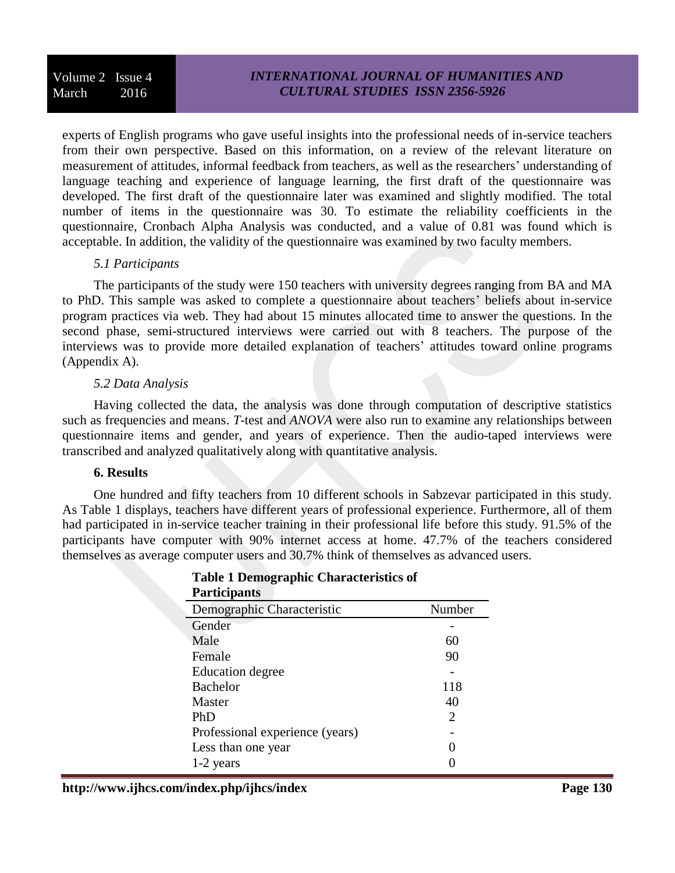experts of English programs who gave useful insights into the professional needs of in-service teachers from their own perspective. Based on this information, on a review of the relevant literature on measurement of attitudes, informal feedback from teachers, as well as the researchers' understanding of language teaching and experience of language learning, the first draft of the questionnaire was developed. The first draft of the questionnaire later was examined and slightly modified. The total number of items in the questionnaire was 30. To estimate the reliability coefficients in the questionnaire, Cronbach Alpha Analysis was conducted, and a value of 0.81 was found which is acceptable. In addition, the validity of the questionnaire was examined by two faculty members.

### *5.1 Participants*

The participants of the study were 150 teachers with university degrees ranging from BA and MA to PhD. This sample was asked to complete a questionnaire about teachers' beliefs about in-service program practices via web. They had about 15 minutes allocated time to answer the questions. In the second phase, semi-structured interviews were carried out with 8 teachers. The purpose of the interviews was to provide more detailed explanation of teachers' attitudes toward online programs (Appendix A).

### *5.2 Data Analysis*

Having collected the data, the analysis was done through computation of descriptive statistics such as frequencies and means. *T*-test and *ANOVA* were also run to examine any relationships between questionnaire items and gender, and years of experience. Then the audio-taped interviews were transcribed and analyzed qualitatively along with quantitative analysis.

### **6. Results**

One hundred and fifty teachers from 10 different schools in Sabzevar participated in this study. As Table 1 displays, teachers have different years of professional experience. Furthermore, all of them had participated in in-service teacher training in their professional life before this study. 91.5% of the participants have computer with 90% internet access at home. 47.7% of the teachers considered themselves as average computer users and 30.7% think of themselves as advanced users.

| <b>Participants</b>             |        |
|---------------------------------|--------|
| Demographic Characteristic      | Number |
| Gender                          |        |
| Male                            | 60     |
| Female                          | 90     |
| <b>Education degree</b>         |        |
| <b>Bachelor</b>                 | 118    |
| Master                          | 40     |
| PhD                             | 2      |
| Professional experience (years) |        |
| Less than one year              |        |
| 1-2 years                       |        |

# **Table 1 Demographic Characteristics of**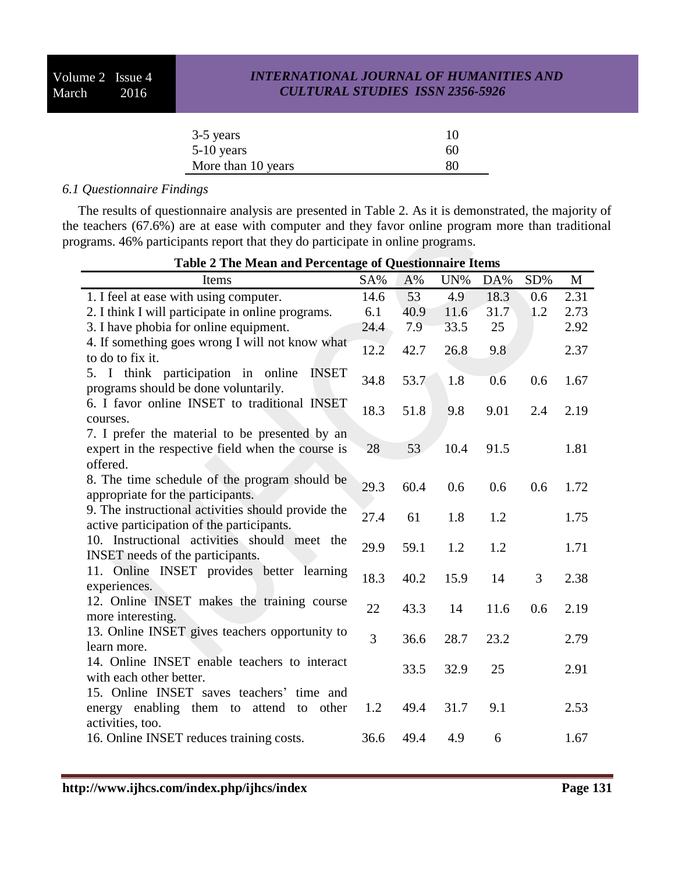| 3-5 years          | 10 |
|--------------------|----|
| $5-10$ years       | 60 |
| More than 10 years | 80 |

### *6.1 Questionnaire Findings*

The results of questionnaire analysis are presented in Table 2. As it is demonstrated, the majority of the teachers (67.6%) are at ease with computer and they favor online program more than traditional programs. 46% participants report that they do participate in online programs.

| <b>Table 2 The Mean and Percentage of Questionnaire Items</b>                                                     |      |      |      |      |     |      |
|-------------------------------------------------------------------------------------------------------------------|------|------|------|------|-----|------|
| Items                                                                                                             | SA%  | A%   | UN%  | DA%  | SD% | M    |
| 1. I feel at ease with using computer.                                                                            | 14.6 | 53   | 4.9  | 18.3 | 0.6 | 2.31 |
| 2. I think I will participate in online programs.                                                                 | 6.1  | 40.9 | 11.6 | 31.7 | 1.2 | 2.73 |
| 3. I have phobia for online equipment.                                                                            | 24.4 | 7.9  | 33.5 | 25   |     | 2.92 |
| 4. If something goes wrong I will not know what<br>to do to fix it.                                               | 12.2 | 42.7 | 26.8 | 9.8  |     | 2.37 |
| 5. I think participation in online<br><b>INSET</b><br>programs should be done voluntarily.                        | 34.8 | 53.7 | 1.8  | 0.6  | 0.6 | 1.67 |
| 6. I favor online INSET to traditional INSET<br>courses.                                                          | 18.3 | 51.8 | 9.8  | 9.01 | 2.4 | 2.19 |
| 7. I prefer the material to be presented by an<br>expert in the respective field when the course is<br>offered.   | 28   | 53   | 10.4 | 91.5 |     | 1.81 |
| 8. The time schedule of the program should be<br>appropriate for the participants.                                | 29.3 | 60.4 | 0.6  | 0.6  | 0.6 | 1.72 |
| 9. The instructional activities should provide the<br>active participation of the participants.                   | 27.4 | 61   | 1.8  | 1.2  |     | 1.75 |
| 10. Instructional activities should meet the<br><b>INSET</b> needs of the participants.                           | 29.9 | 59.1 | 1.2  | 1.2  |     | 1.71 |
| 11. Online INSET provides better learning<br>experiences.                                                         | 18.3 | 40.2 | 15.9 | 14   | 3   | 2.38 |
| 12. Online INSET makes the training course<br>more interesting.                                                   | 22   | 43.3 | 14   | 11.6 | 0.6 | 2.19 |
| 13. Online INSET gives teachers opportunity to<br>learn more.                                                     | 3    | 36.6 | 28.7 | 23.2 |     | 2.79 |
| 14. Online INSET enable teachers to interact<br>with each other better.                                           |      | 33.5 | 32.9 | 25   |     | 2.91 |
| 15. Online INSET saves teachers' time and<br>energy enabling them to<br>attend<br>other<br>to<br>activities, too. | 1.2  | 49.4 | 31.7 | 9.1  |     | 2.53 |
| 16. Online INSET reduces training costs.                                                                          | 36.6 | 49.4 | 4.9  | 6    |     | 1.67 |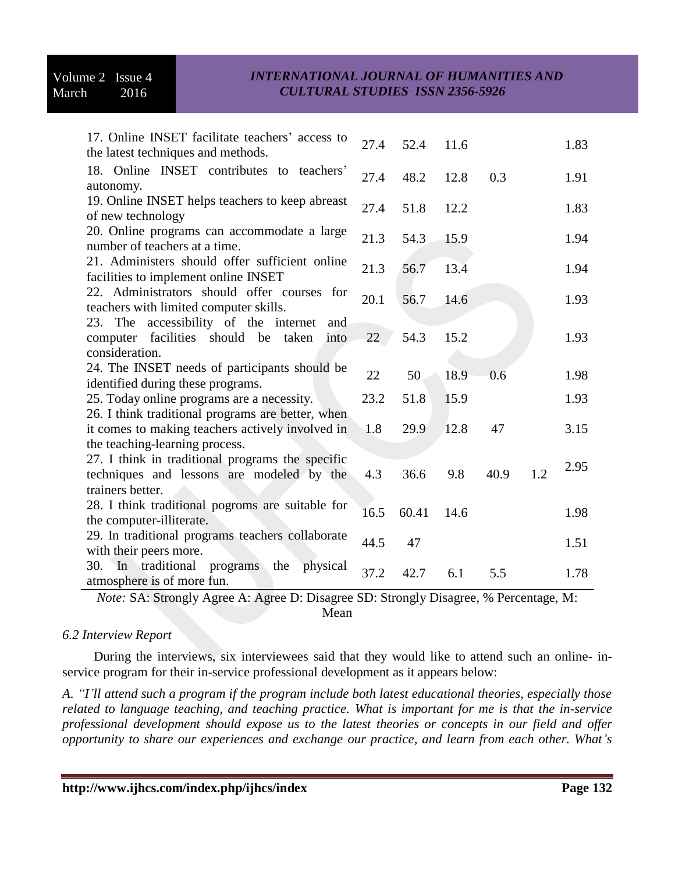| 17. Online INSET facilitate teachers' access to<br>the latest techniques and methods.                                  | 27.4 | 52.4  | 11.6 |      |     | 1.83 |
|------------------------------------------------------------------------------------------------------------------------|------|-------|------|------|-----|------|
| 18. Online INSET contributes to teachers'<br>autonomy.                                                                 | 27.4 | 48.2  | 12.8 | 0.3  |     | 1.91 |
| 19. Online INSET helps teachers to keep abreast<br>of new technology                                                   | 27.4 | 51.8  | 12.2 |      |     | 1.83 |
| 20. Online programs can accommodate a large<br>number of teachers at a time.                                           | 21.3 | 54.3  | 15.9 |      |     | 1.94 |
| 21. Administers should offer sufficient online<br>facilities to implement online INSET                                 | 21.3 | 56.7  | 13.4 |      |     | 1.94 |
| 22. Administrators should offer courses for<br>teachers with limited computer skills.                                  | 20.1 | 56.7  | 14.6 |      |     | 1.93 |
| The accessibility of the internet<br>23.<br>and<br>facilities should be<br>computer<br>taken<br>into<br>consideration. | 22   | 54.3  | 15.2 |      |     | 1.93 |
| 24. The INSET needs of participants should be<br>identified during these programs.                                     | 22   | 50    | 18.9 | 0.6  |     | 1.98 |
| 25. Today online programs are a necessity.<br>26. I think traditional programs are better, when                        | 23.2 | 51.8  | 15.9 |      |     | 1.93 |
| it comes to making teachers actively involved in<br>the teaching-learning process.                                     | 1.8  | 29.9  | 12.8 | 47   |     | 3.15 |
| 27. I think in traditional programs the specific<br>techniques and lessons are modeled by the<br>trainers better.      | 4.3  | 36.6  | 9.8  | 40.9 | 1.2 | 2.95 |
| 28. I think traditional pogroms are suitable for<br>the computer-illiterate.                                           | 16.5 | 60.41 | 14.6 |      |     | 1.98 |
| 29. In traditional programs teachers collaborate<br>with their peers more.                                             | 44.5 | 47    |      |      |     | 1.51 |
| In traditional<br>physical<br>30.<br>programs<br>the<br>atmosphere is of more fun.                                     | 37.2 | 42.7  | 6.1  | 5.5  |     | 1.78 |

*Note:* SA: Strongly Agree A: Agree D: Disagree SD: Strongly Disagree, % Percentage, M:

Mean

#### *6.2 Interview Report*

During the interviews, six interviewees said that they would like to attend such an online- inservice program for their in-service professional development as it appears below:

*A. "I'll attend such a program if the program include both latest educational theories, especially those related to language teaching, and teaching practice. What is important for me is that the in-service professional development should expose us to the latest theories or concepts in our field and offer opportunity to share our experiences and exchange our practice, and learn from each other. What's*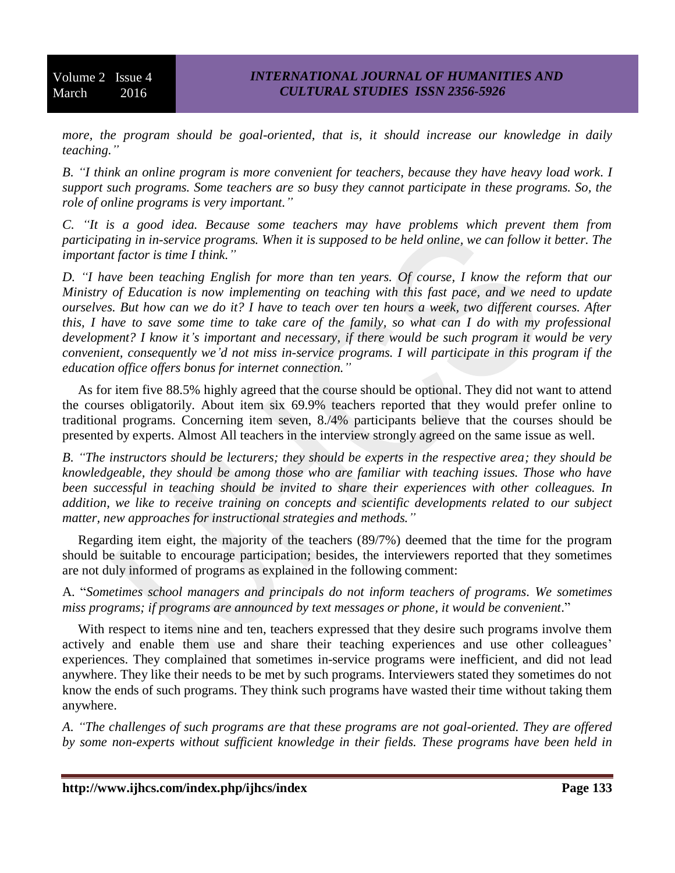*more, the program should be goal-oriented, that is, it should increase our knowledge in daily teaching."*

*B. "I think an online program is more convenient for teachers, because they have heavy load work. I support such programs. Some teachers are so busy they cannot participate in these programs. So, the role of online programs is very important."*

*C. "It is a good idea. Because some teachers may have problems which prevent them from participating in in-service programs. When it is supposed to be held online, we can follow it better. The important factor is time I think."*

*D. "I have been teaching English for more than ten years. Of course, I know the reform that our Ministry of Education is now implementing on teaching with this fast pace, and we need to update ourselves. But how can we do it? I have to teach over ten hours a week, two different courses. After this, I have to save some time to take care of the family, so what can I do with my professional development? I know it's important and necessary, if there would be such program it would be very convenient, consequently we'd not miss in-service programs. I will participate in this program if the education office offers bonus for internet connection."*

As for item five 88.5% highly agreed that the course should be optional. They did not want to attend the courses obligatorily. About item six 69.9% teachers reported that they would prefer online to traditional programs. Concerning item seven, 8./4% participants believe that the courses should be presented by experts. Almost All teachers in the interview strongly agreed on the same issue as well.

*B. "The instructors should be lecturers; they should be experts in the respective area; they should be knowledgeable, they should be among those who are familiar with teaching issues. Those who have been successful in teaching should be invited to share their experiences with other colleagues. In addition, we like to receive training on concepts and scientific developments related to our subject matter, new approaches for instructional strategies and methods."*

Regarding item eight, the majority of the teachers (89/7%) deemed that the time for the program should be suitable to encourage participation; besides, the interviewers reported that they sometimes are not duly informed of programs as explained in the following comment:

A. "*Sometimes school managers and principals do not inform teachers of programs. We sometimes miss programs; if programs are announced by text messages or phone, it would be convenient*."

With respect to items nine and ten, teachers expressed that they desire such programs involve them actively and enable them use and share their teaching experiences and use other colleagues' experiences. They complained that sometimes in-service programs were inefficient, and did not lead anywhere. They like their needs to be met by such programs. Interviewers stated they sometimes do not know the ends of such programs. They think such programs have wasted their time without taking them anywhere.

*A. "The challenges of such programs are that these programs are not goal-oriented. They are offered by some non-experts without sufficient knowledge in their fields. These programs have been held in*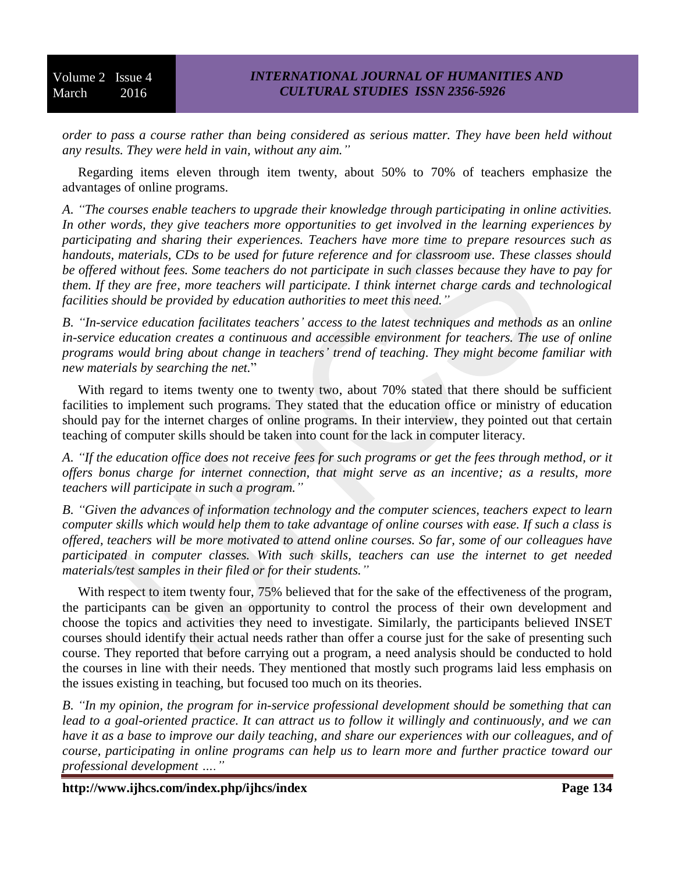*order to pass a course rather than being considered as serious matter. They have been held without any results. They were held in vain, without any aim."*

Regarding items eleven through item twenty, about 50% to 70% of teachers emphasize the advantages of online programs.

*A. "The courses enable teachers to upgrade their knowledge through participating in online activities. In other words, they give teachers more opportunities to get involved in the learning experiences by participating and sharing their experiences. Teachers have more time to prepare resources such as handouts, materials, CDs to be used for future reference and for classroom use. These classes should be offered without fees. Some teachers do not participate in such classes because they have to pay for them. If they are free, more teachers will participate. I think internet charge cards and technological facilities should be provided by education authorities to meet this need."*

*B. "In-service education facilitates teachers' access to the latest techniques and methods as* an *online in-service education creates a continuous and accessible environment for teachers. The use of online programs would bring about change in teachers' trend of teaching. They might become familiar with new materials by searching the net.*"

With regard to items twenty one to twenty two, about 70% stated that there should be sufficient facilities to implement such programs. They stated that the education office or ministry of education should pay for the internet charges of online programs. In their interview, they pointed out that certain teaching of computer skills should be taken into count for the lack in computer literacy.

*A. "If the education office does not receive fees for such programs or get the fees through method, or it offers bonus charge for internet connection, that might serve as an incentive; as a results, more teachers will participate in such a program."*

*B. "Given the advances of information technology and the computer sciences, teachers expect to learn computer skills which would help them to take advantage of online courses with ease. If such a class is offered, teachers will be more motivated to attend online courses. So far, some of our colleagues have participated in computer classes. With such skills, teachers can use the internet to get needed materials/test samples in their filed or for their students."*

With respect to item twenty four, 75% believed that for the sake of the effectiveness of the program, the participants can be given an opportunity to control the process of their own development and choose the topics and activities they need to investigate. Similarly, the participants believed INSET courses should identify their actual needs rather than offer a course just for the sake of presenting such course. They reported that before carrying out a program, a need analysis should be conducted to hold the courses in line with their needs. They mentioned that mostly such programs laid less emphasis on the issues existing in teaching, but focused too much on its theories.

*B. "In my opinion, the program for in-service professional development should be something that can lead to a goal-oriented practice. It can attract us to follow it willingly and continuously, and we can have it as a base to improve our daily teaching, and share our experiences with our colleagues, and of course, participating in online programs can help us to learn more and further practice toward our professional development …."*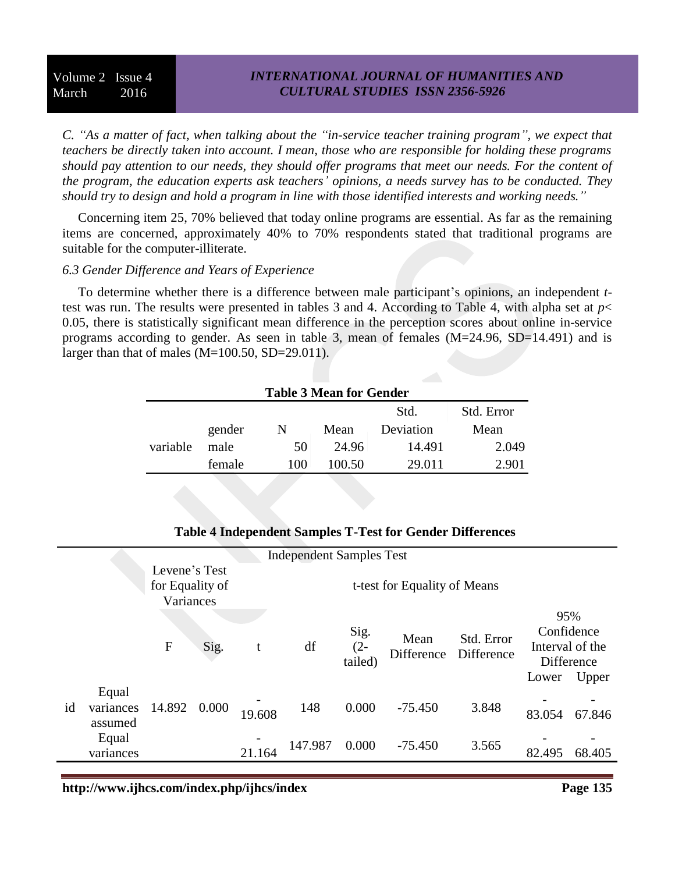### *INTERNATIONAL JOURNAL OF HUMANITIES AND CULTURAL STUDIES ISSN 2356-5926*

*C. "As a matter of fact, when talking about the "in-service teacher training program", we expect that teachers be directly taken into account. I mean, those who are responsible for holding these programs should pay attention to our needs, they should offer programs that meet our needs. For the content of the program, the education experts ask teachers' opinions, a needs survey has to be conducted. They should try to design and hold a program in line with those identified interests and working needs."*

Concerning item 25, 70% believed that today online programs are essential. As far as the remaining items are concerned, approximately 40% to 70% respondents stated that traditional programs are suitable for the computer-illiterate.

#### *6.3 Gender Difference and Years of Experience*

To determine whether there is a difference between male participant's opinions, an independent *t*test was run. The results were presented in tables 3 and 4. According to Table 4, with alpha set at *p*< 0.05, there is statistically significant mean difference in the perception scores about online in-service programs according to gender. As seen in table 3, mean of females (M=24.96, SD=14.491) and is larger than that of males (M=100.50, SD=29.011).

| <b>Table 3 Mean for Gender</b> |        |     |        |           |       |  |  |  |
|--------------------------------|--------|-----|--------|-----------|-------|--|--|--|
| Std.<br>Std. Error             |        |     |        |           |       |  |  |  |
|                                | gender | N   | Mean   | Deviation | Mean  |  |  |  |
| variable                       | male   | 50  | 24.96  | 14.491    | 2.049 |  |  |  |
|                                | female | 100 | 100.50 | 29.011    | 2.901 |  |  |  |

#### **Table 4 Independent Samples T-Test for Gender Differences**

|    |                               |                                               |       |                              | <b>Independent Samples Test</b> |                           |                    |                          |                                               |                     |
|----|-------------------------------|-----------------------------------------------|-------|------------------------------|---------------------------------|---------------------------|--------------------|--------------------------|-----------------------------------------------|---------------------|
|    |                               | Levene's Test<br>for Equality of<br>Variances |       | t-test for Equality of Means |                                 |                           |                    |                          |                                               |                     |
|    |                               | $\mathbf F$                                   | Sig.  | t                            | df                              | Sig.<br>$(2 -$<br>tailed) | Mean<br>Difference | Std. Error<br>Difference | 95%<br>Confidence<br>Interval of the<br>Lower | Difference<br>Upper |
| id | Equal<br>variances<br>assumed | 14.892                                        | 0.000 | 19.608                       | 148                             | 0.000                     | $-75.450$          | 3.848                    | 83.054                                        | 67.846              |
|    | Equal<br>variances            |                                               |       | 21.164                       | 147.987                         | 0.000                     | $-75.450$          | 3.565                    | 82.495                                        | 68.405              |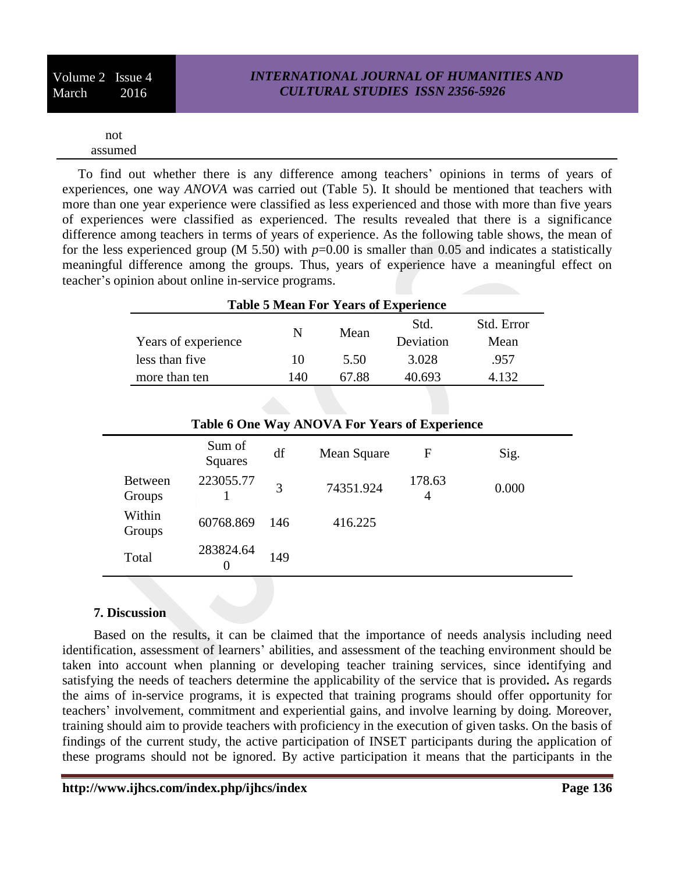| Volume 2 Issue 4 |      |
|------------------|------|
| March            | 2016 |

not assumed

To find out whether there is any difference among teachers' opinions in terms of years of experiences, one way *ANOVA* was carried out (Table 5). It should be mentioned that teachers with more than one year experience were classified as less experienced and those with more than five years of experiences were classified as experienced. The results revealed that there is a significance difference among teachers in terms of years of experience. As the following table shows, the mean of for the less experienced group (M 5.50) with  $p=0.00$  is smaller than 0.05 and indicates a statistically meaningful difference among the groups. Thus, years of experience have a meaningful effect on teacher's opinion about online in-service programs.

| <b>Table 5 Mean For Years of Experience</b> |     |       |                   |                    |  |
|---------------------------------------------|-----|-------|-------------------|--------------------|--|
| Years of experience                         | N   | Mean  | Std.<br>Deviation | Std. Error<br>Mean |  |
| less than five                              | 10  | 5.50  | 3.028             | .957               |  |
| more than ten                               | 140 | 67.88 | 40.693            | 132                |  |

|                          | Table 6 One Way ANOVA For Years of Experience |     |             |             |       |  |  |  |
|--------------------------|-----------------------------------------------|-----|-------------|-------------|-------|--|--|--|
|                          | Sum of<br>Squares                             | df  | Mean Square | F           | Sig.  |  |  |  |
| <b>Between</b><br>Groups | 223055.77                                     | 3   | 74351.924   | 178.63<br>4 | 0.000 |  |  |  |
| Within<br>Groups         | 60768.869                                     | 146 | 416.225     |             |       |  |  |  |
| Total                    | 283824.64                                     | 149 |             |             |       |  |  |  |

### **7. Discussion**

Based on the results, it can be claimed that the importance of needs analysis including need identification, assessment of learners' abilities, and assessment of the teaching environment should be taken into account when planning or developing teacher training services, since identifying and satisfying the needs of teachers determine the applicability of the service that is provided**.** As regards the aims of in-service programs, it is expected that training programs should offer opportunity for teachers' involvement, commitment and experiential gains, and involve learning by doing. Moreover, training should aim to provide teachers with proficiency in the execution of given tasks. On the basis of findings of the current study, the active participation of INSET participants during the application of these programs should not be ignored. By active participation it means that the participants in the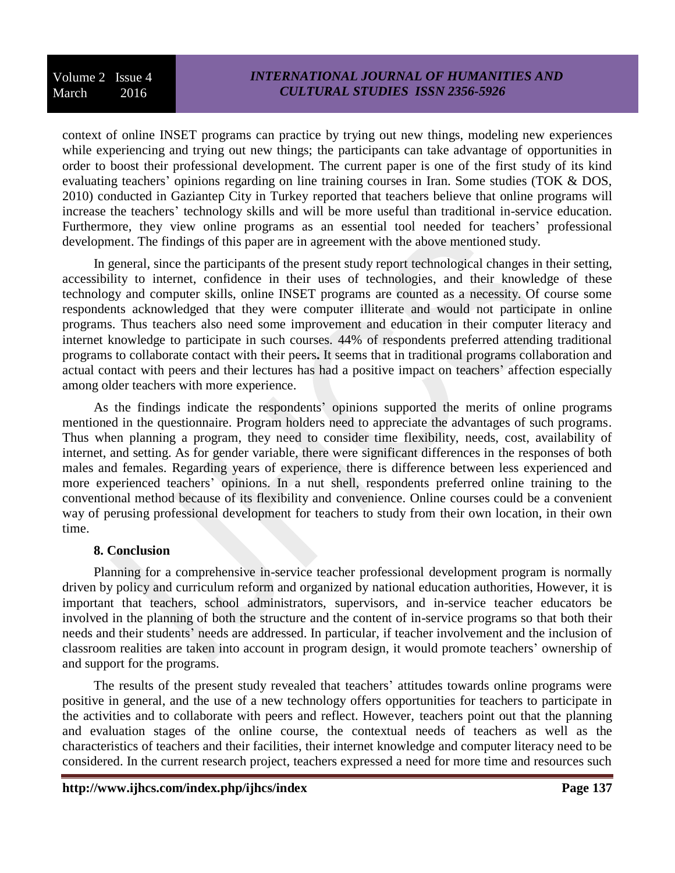context of online INSET programs can practice by trying out new things, modeling new experiences while experiencing and trying out new things; the participants can take advantage of opportunities in order to boost their professional development. The current paper is one of the first study of its kind evaluating teachers' opinions regarding on line training courses in Iran. Some studies (TOK & DOS, 2010) conducted in Gaziantep City in Turkey reported that teachers believe that online programs will increase the teachers' technology skills and will be more useful than traditional in-service education. Furthermore, they view online programs as an essential tool needed for teachers' professional development. The findings of this paper are in agreement with the above mentioned study.

In general, since the participants of the present study report technological changes in their setting, accessibility to internet, confidence in their uses of technologies, and their knowledge of these technology and computer skills, online INSET programs are counted as a necessity. Of course some respondents acknowledged that they were computer illiterate and would not participate in online programs. Thus teachers also need some improvement and education in their computer literacy and internet knowledge to participate in such courses. 44% of respondents preferred attending traditional programs to collaborate contact with their peers**.** It seems that in traditional programs collaboration and actual contact with peers and their lectures has had a positive impact on teachers' affection especially among older teachers with more experience.

As the findings indicate the respondents' opinions supported the merits of online programs mentioned in the questionnaire. Program holders need to appreciate the advantages of such programs. Thus when planning a program, they need to consider time flexibility, needs, cost, availability of internet, and setting. As for gender variable, there were significant differences in the responses of both males and females. Regarding years of experience, there is difference between less experienced and more experienced teachers' opinions. In a nut shell, respondents preferred online training to the conventional method because of its flexibility and convenience. Online courses could be a convenient way of perusing professional development for teachers to study from their own location, in their own time.

### **8. Conclusion**

Planning for a comprehensive in-service teacher professional development program is normally driven by policy and curriculum reform and organized by national education authorities, However, it is important that teachers, school administrators, supervisors, and in-service teacher educators be involved in the planning of both the structure and the content of in-service programs so that both their needs and their students' needs are addressed. In particular, if teacher involvement and the inclusion of classroom realities are taken into account in program design, it would promote teachers' ownership of and support for the programs.

The results of the present study revealed that teachers' attitudes towards online programs were positive in general, and the use of a new technology offers opportunities for teachers to participate in the activities and to collaborate with peers and reflect. However, teachers point out that the planning and evaluation stages of the online course, the contextual needs of teachers as well as the characteristics of teachers and their facilities, their internet knowledge and computer literacy need to be considered. In the current research project, teachers expressed a need for more time and resources such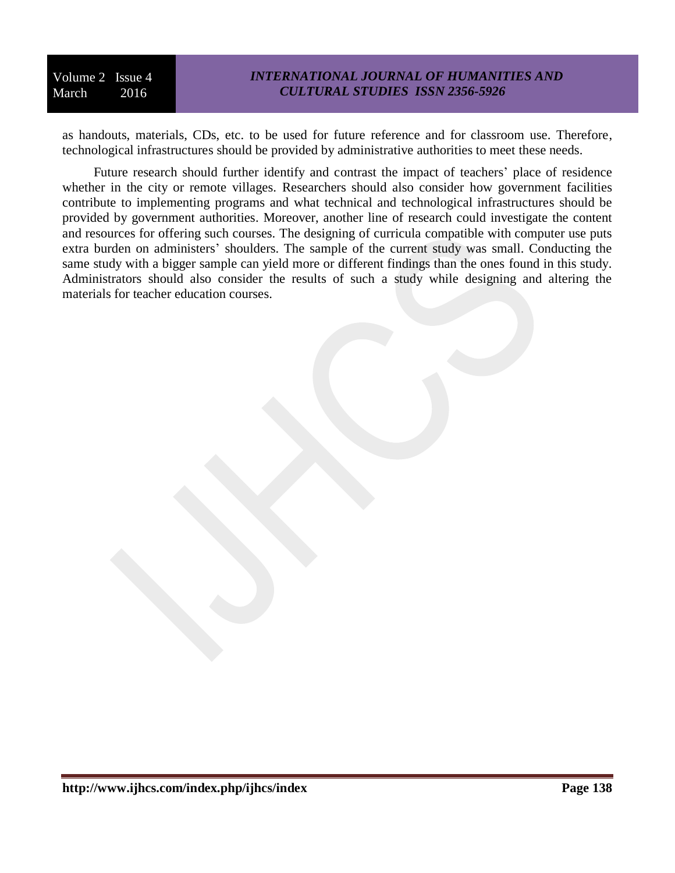### *INTERNATIONAL JOURNAL OF HUMANITIES AND CULTURAL STUDIES ISSN 2356-5926*

as handouts, materials, CDs, etc. to be used for future reference and for classroom use. Therefore, technological infrastructures should be provided by administrative authorities to meet these needs.

Future research should further identify and contrast the impact of teachers' place of residence whether in the city or remote villages. Researchers should also consider how government facilities contribute to implementing programs and what technical and technological infrastructures should be provided by government authorities. Moreover, another line of research could investigate the content and resources for offering such courses. The designing of curricula compatible with computer use puts extra burden on administers' shoulders. The sample of the current study was small. Conducting the same study with a bigger sample can yield more or different findings than the ones found in this study. Administrators should also consider the results of such a study while designing and altering the materials for teacher education courses.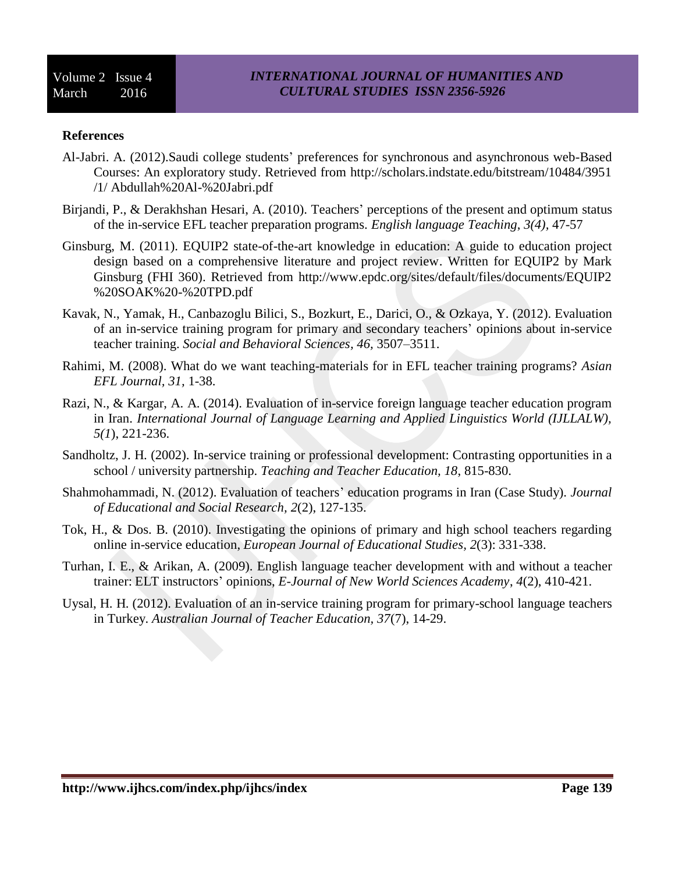#### **References**

- Al-Jabri. A. (2012).Saudi college students' preferences for synchronous and asynchronous web-Based Courses: An exploratory study. Retrieved from http://scholars.indstate.edu/bitstream/10484/3951 /1/ Abdullah%20Al-%20Jabri.pdf
- Birjandi, P., & Derakhshan Hesari, A. (2010). Teachers' perceptions of the present and optimum status of the in-service EFL teacher preparation programs. *English language Teaching*, *3(4),* 47-57
- Ginsburg, M. (2011). EQUIP2 state-of-the-art knowledge in education: A guide to education project design based on a comprehensive literature and project review. Written for EQUIP2 by Mark Ginsburg (FHI 360). Retrieved from http://www.epdc.org/sites/default/files/documents/EQUIP2 %20SOAK%20-%20TPD.pdf
- Kavak, N., Yamak, H., Canbazoglu Bilici, S., Bozkurt, E., Darici, O., & Ozkaya, Y. (2012). Evaluation of an in-service training program for primary and secondary teachers' opinions about in-service teacher training. *Social and Behavioral Sciences, 46,* 3507–3511.
- Rahimi, M. (2008). What do we want teaching-materials for in EFL teacher training programs? *Asian EFL Journal, 31,* 1-38.
- Razi, N., & Kargar, A. A. (2014). Evaluation of in-service foreign language teacher education program in Iran. *International Journal of Language Learning and Applied Linguistics World (IJLLALW), 5(1*), 221-236.
- Sandholtz, J. H. (2002). In-service training or professional development: Contrasting opportunities in a school / university partnership. *Teaching and Teacher Education, 18*, 815-830.
- Shahmohammadi, N. (2012). Evaluation of teachers' education programs in Iran (Case Study). *Journal of Educational and Social Research, 2*(2), 127-135.
- Tok, H., & Dos. B. (2010). Investigating the opinions of primary and high school teachers regarding online in-service education, *European Journal of Educational Studies, 2*(3): 331-338.
- Turhan, I. E., & Arikan, A. (2009). English language teacher development with and without a teacher trainer: ELT instructors' opinions, *E-Journal of New World Sciences Academy*, *4*(2), 410-421.
- Uysal, H. H. (2012). Evaluation of an in-service training program for primary-school language teachers in Turkey. *Australian Journal of Teacher Education, 37*(7), 14-29.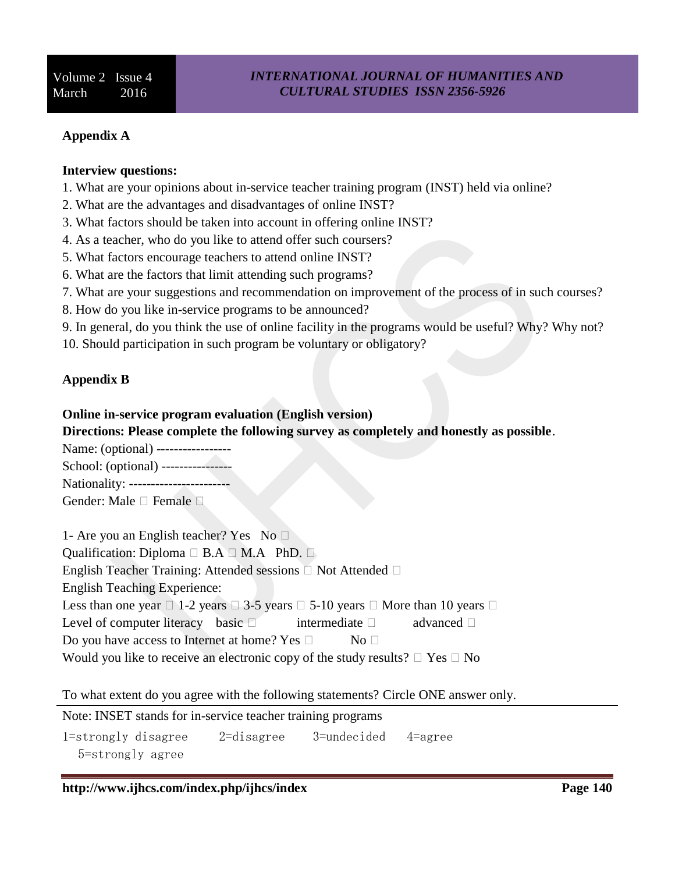### **Appendix A**

### **Interview questions:**

- 1. What are your opinions about in-service teacher training program (INST) held via online?
- 2. What are the advantages and disadvantages of online INST?
- 3. What factors should be taken into account in offering online INST?
- 4. As a teacher, who do you like to attend offer such coursers?
- 5. What factors encourage teachers to attend online INST?
- 6. What are the factors that limit attending such programs?
- 7. What are your suggestions and recommendation on improvement of the process of in such courses?
- 8. How do you like in-service programs to be announced?
- 9. In general, do you think the use of online facility in the programs would be useful? Why? Why not?
- 10. Should participation in such program be voluntary or obligatory?

# **Appendix B**

### **Online in-service program evaluation (English version)**

# **Directions: Please complete the following survey as completely and honestly as possible**.

- Name: (optional) -----------------
- School: (optional) ----------------

Nationality: ------------------

Gender: Male  $\Box$  Female  $\Box$ 

1- Are you an English teacher? Yes No Qualification: Diploma  $\Box$  B.A  $\Box$  M.A PhD.  $\Box$ English Teacher Training: Attended sessions  $\Box$  Not Attended  $\Box$ English Teaching Experience: Less than one year  $\Box$  1-2 years  $\Box$  3-5 years  $\Box$  5-10 years  $\Box$  More than 10 years  $\Box$ Level of computer literacy basic  $\Box$  intermediate  $\Box$  advanced  $\Box$ Do you have access to Internet at home? Yes  $\Box$  No  $\Box$ Would you like to receive an electronic copy of the study results?  $\Box$  Yes  $\Box$  No

# To what extent do you agree with the following statements? Circle ONE answer only.

Note: INSET stands for in-service teacher training programs

1=strongly disagree 2=disagree 3=undecided 4=agree

5=strongly agree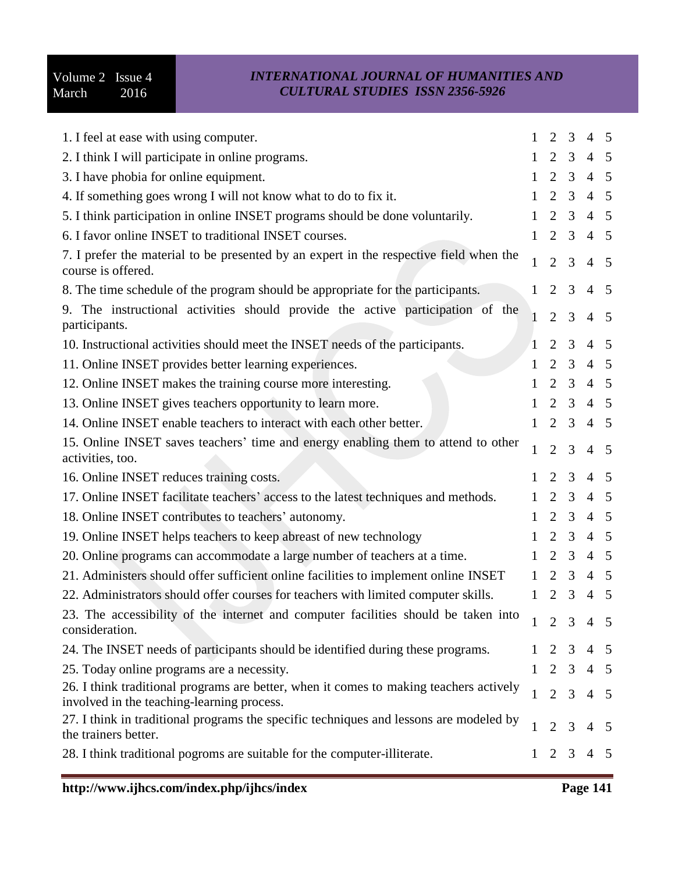| 1. I feel at ease with using computer.                                                                                               | 1            | 2                   | 3              | $\overline{4}$      | 5               |
|--------------------------------------------------------------------------------------------------------------------------------------|--------------|---------------------|----------------|---------------------|-----------------|
| 2. I think I will participate in online programs.                                                                                    | $\mathbf{1}$ | $2 \quad 3$         |                | $4\quad 5$          |                 |
| 3. I have phobia for online equipment.                                                                                               | 1            | $\overline{2}$      | 3              | $\overline{4}$      | $5\overline{)}$ |
| 4. If something goes wrong I will not know what to do to fix it.                                                                     | $\mathbf{1}$ | $\overline{2}$      | 3              | $\overline{4}$      | $5\overline{)}$ |
| 5. I think participation in online INSET programs should be done voluntarily.                                                        | 1            | $\overline{2}$      | 3              | $\overline{4}$      | $5\overline{)}$ |
| 6. I favor online INSET to traditional INSET courses.                                                                                | 1            | $\overline{2}$      | 3              | $\overline{4}$      | $\overline{5}$  |
| 7. I prefer the material to be presented by an expert in the respective field when the<br>course is offered.                         | 1            | $\overline{2}$      | 3              | $\overline{4}$      | 5               |
| 8. The time schedule of the program should be appropriate for the participants.                                                      | $\mathbf{1}$ | 2                   | 3              | $\overline{4}$      | 5               |
| 9. The instructional activities should provide the active participation of the<br>participants.                                      |              | $\overline{2}$      | $\overline{3}$ | $\overline{4}$      | 5               |
| 10. Instructional activities should meet the INSET needs of the participants.                                                        |              | 2                   | 3              | $\overline{4}$      | 5               |
| 11. Online INSET provides better learning experiences.                                                                               | $\mathbf{1}$ | $\overline{2}$      | 3              | $\overline{4}$      | $\overline{5}$  |
| 12. Online INSET makes the training course more interesting.                                                                         | $\mathbf{1}$ | $\overline{2}$      | 3              | $4\quad 5$          |                 |
| 13. Online INSET gives teachers opportunity to learn more.                                                                           | $\mathbf{1}$ | $\overline{2}$      | 3              | $\overline{4}$      | $5\overline{5}$ |
| 14. Online INSET enable teachers to interact with each other better.                                                                 |              | $1\quad 2$          | $\mathfrak{Z}$ | $4\quad 5$          |                 |
| 15. Online INSET saves teachers' time and energy enabling them to attend to other<br>activities, too.                                | $\mathbf{1}$ | $\overline{2}$      | $\overline{3}$ | $\overline{4}$      | 5               |
| 16. Online INSET reduces training costs.                                                                                             | 1            | 2                   | 3              | $\overline{4}$      | - 5             |
| 17. Online INSET facilitate teachers' access to the latest techniques and methods.                                                   | 1            | $\overline{2}$      | 3              | $\overline{4}$      | $\overline{5}$  |
| 18. Online INSET contributes to teachers' autonomy.                                                                                  | $\mathbf{1}$ | $\overline{2}$      | 3              | $\overline{4}$      | $\overline{5}$  |
| 19. Online INSET helps teachers to keep abreast of new technology                                                                    | 1            | 2                   | 3              | $\overline{4}$      | $\overline{5}$  |
| 20. Online programs can accommodate a large number of teachers at a time.                                                            | 1            | $\overline{2}$      | 3              | $4\quad 5$          |                 |
| 21. Administers should offer sufficient online facilities to implement online INSET                                                  | 1            | 2                   | 3              | $\overline{4}$      | $5\overline{5}$ |
| 22. Administrators should offer courses for teachers with limited computer skills.                                                   | 1            | 2                   | 3              | $4\quad 5$          |                 |
| 23. The accessibility of the internet and computer facilities should be taken into<br>consideration.                                 |              |                     |                | $1 \t2 \t3 \t4 \t5$ |                 |
| 24. The INSET needs of participants should be identified during these programs.                                                      | $\mathbf{1}$ | $\overline{2}$      | 3              | $\overline{4}$      | $\overline{5}$  |
| 25. Today online programs are a necessity.                                                                                           |              |                     |                | $1 \t2 \t3 \t4 \t5$ |                 |
| 26. I think traditional programs are better, when it comes to making teachers actively<br>involved in the teaching-learning process. | $\mathbf{1}$ | $\overline{2}$      | $\overline{3}$ | $\overline{4}$      | $5\,$           |
| 27. I think in traditional programs the specific techniques and lessons are modeled by<br>the trainers better.                       |              | $\overline{2}$      | 3              | 4                   | 5               |
| 28. I think traditional pogroms are suitable for the computer-illiterate.                                                            |              | $1 \quad 2 \quad 3$ |                | $4\quad 5$          |                 |
|                                                                                                                                      |              |                     |                |                     |                 |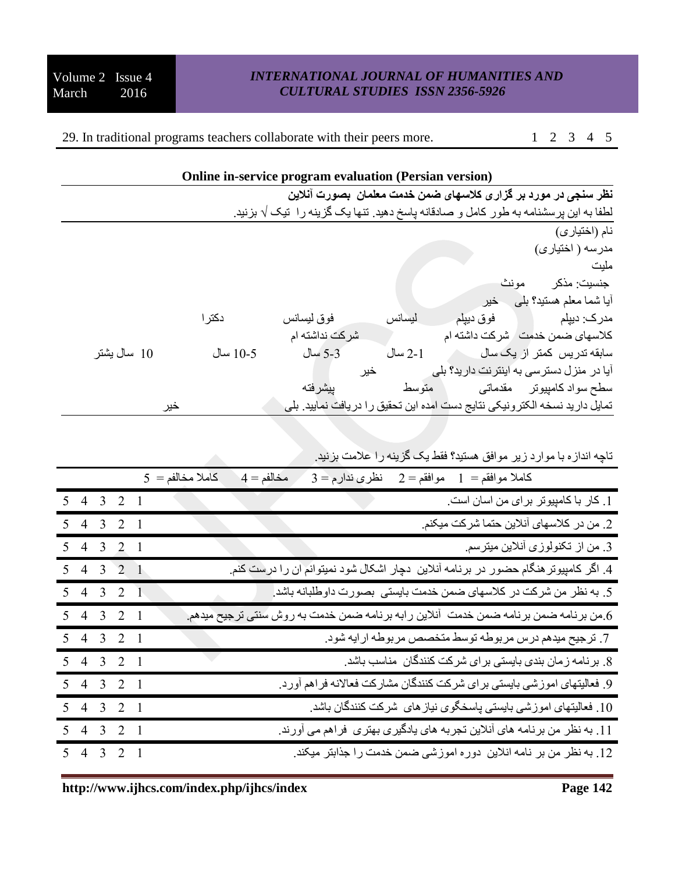29. In traditional programs teachers collaborate with their peers more. 1 2 3 4 5

|             |          | Online in-service program evaluation (Persian version) |         |           |                                                                                      |
|-------------|----------|--------------------------------------------------------|---------|-----------|--------------------------------------------------------------------------------------|
|             |          |                                                        |         |           | نظر سنجی در مورد بر گزاری کلاسهای ضمن خدمت معلمان  بصورت آنلاین                      |
|             |          |                                                        |         |           | لطفا به این پرسشنامه به طور کامل و صادقانه پاسخ دهید. تنها یک گزینه را  تیک √ بزنید. |
|             |          |                                                        |         |           | نام (اختيارى)                                                                        |
|             |          |                                                        |         |           | مدرسه ( اختیار ی)                                                                    |
|             |          |                                                        |         |           | مليت                                                                                 |
|             |          |                                                        |         | مو نث     | جنسيت: مذكر                                                                          |
|             |          |                                                        |         | خير       | آیا شما معلم هستید؟ پلّی                                                             |
|             | دكتر ا   | فوق ليسانس                                             | ليسانس  | فوق دييلم | مدر ک: دیپلم                                                                         |
|             |          | شر کت نداشته ام                                        |         |           | كلاسهاى ضمن خدمت / شركت داشته ام                                                     |
| 10 سال پشتر | 10-5 سال | 5-3 سال                                                | 2-1 سال |           | سابقه تدریس کمتر از یک سال                                                           |
|             |          |                                                        | خير     |           | آیا در منزل دسترسی به اینترنت دارید؟ بلی                                             |
|             |          | ييشر فته                                               | متوسط   |           | سطح سواد کامپیوتر     مقدماتی                                                        |
| خير         |          |                                                        |         |           | تمایل دارید نسخه الکتر ونیکی نتایج دست امده این تحقیق را در یافت نمایید. بلی         |

|                            |  | تاچه اندازه با موارد زیر موافق هستید؟ فقط یک گزینه را علامت بزنید                    |
|----------------------------|--|--------------------------------------------------------------------------------------|
|                            |  | $5 = 5$ كاملا مخالفم<br>$3 = 3$ كاملا موافقم $1 = 2$ موافقم<br>$4 = 4$ مخالفم        |
| $5$ 4 3 2 1                |  | 1. كار با كامپيوتر براى من اسان است.                                                 |
| $5$ 4 3 2 1                |  | 2. من در كلاسهاى أنلاين حتما شركت ميكنم.                                             |
| $\overline{5}$ 4 3 2 1     |  | 3. من از تكنولوزي أنلاين ميترسم.                                                     |
| $5$ 4 3 2 1                |  | 4. اگر کامپیوتر هنگام حضور در برنامه آنلاین دچار اشکال شود نمیتوانم آن را درست کنم.  |
| $5$ 4 3 2 1                |  | 5. به نظر من شركت در كلاسهاي ضمن خدمت بايستي بصورت داوطلبانه باشد.                   |
| $5$ 4 3 2 1                |  | 6.من برنامه ضمن برنامه ضمن خدمت آنلاین رابه برنامه ضمن خدمت به روش سنتی ترجیح میدهم. |
| $5$ 4 3 $2$ $\overline{1}$ |  | 7. ترجيح ميدهم درس مربوطه توسط متخصص مربوطه ارايه شود.                               |
| $5$ 4 3 2 1                |  | 8. برنامه زمان بندی بایستی برای شرکت کنندگان مناسب باشد.                             |
| $5$ 4 3 2 1                |  | 9. فعالیتهای اموزشی بایستی برای شرکت کنندگان مشارکت فعالانه فراهم أورد.              |
| $5$ 4 3 2 1                |  | 10. فعالیتهای اموزشی بایستی پاسخگوی نیاز های شرکت کنندگان باشد                       |
| $5$ 4 3 2 1                |  | 11. به نظر من برنامه های آنلاین تجربه های یادگیری بهتری  فراهم می آورند.             |
| $5$ 4 3 2 1                |  | 12. به نظر من بر نامه انلاین دوره اموزشی ضمن خدمت را جذابتر میکند.                   |